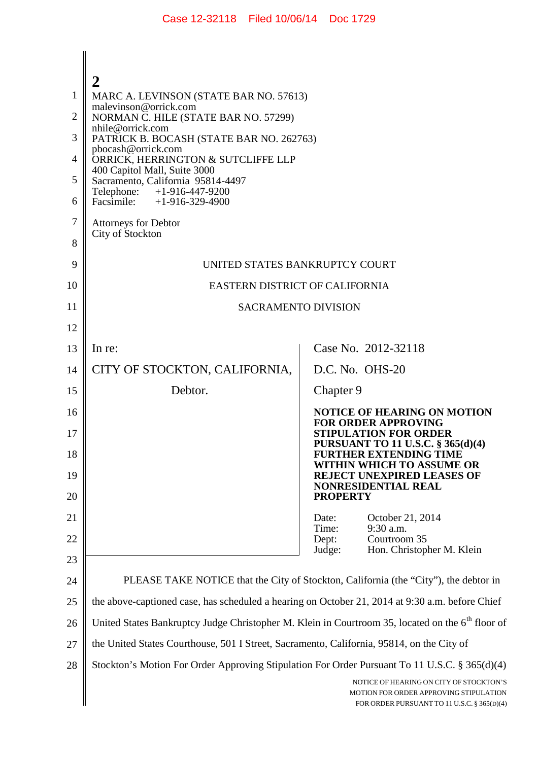|    | 2                                                                                                            |                                                                                                                                  |  |
|----|--------------------------------------------------------------------------------------------------------------|----------------------------------------------------------------------------------------------------------------------------------|--|
| 1  | MARC A. LEVINSON (STATE BAR NO. 57613)<br>malevinson@orrick.com                                              |                                                                                                                                  |  |
| 2  | NORMAN C. HILE (STATE BAR NO. 57299)<br>nhile@orrick.com                                                     |                                                                                                                                  |  |
| 3  | PATRICK B. BOCASH (STATE BAR NO. 262763)<br>pbocash@orrick.com                                               |                                                                                                                                  |  |
| 4  | ORRICK, HERRINGTON & SUTCLIFFE LLP<br>400 Capitol Mall, Suite 3000                                           |                                                                                                                                  |  |
| 5  | Sacramento, California 95814-4497<br>Telephone: +1-916-447-9200                                              |                                                                                                                                  |  |
| 6  | Facsimile: $+1-916-329-4900$                                                                                 |                                                                                                                                  |  |
| 7  | Attorneys for Debtor                                                                                         |                                                                                                                                  |  |
| 8  | City of Stockton                                                                                             |                                                                                                                                  |  |
| 9  | UNITED STATES BANKRUPTCY COURT                                                                               |                                                                                                                                  |  |
| 10 | EASTERN DISTRICT OF CALIFORNIA                                                                               |                                                                                                                                  |  |
| 11 | <b>SACRAMENTO DIVISION</b>                                                                                   |                                                                                                                                  |  |
| 12 |                                                                                                              |                                                                                                                                  |  |
| 13 | In re:                                                                                                       | Case No. 2012-32118                                                                                                              |  |
| 14 | CITY OF STOCKTON, CALIFORNIA,                                                                                | D.C. No. OHS-20                                                                                                                  |  |
| 15 | Debtor.                                                                                                      | Chapter 9                                                                                                                        |  |
| 16 |                                                                                                              | <b>NOTICE OF HEARING ON MOTION</b><br><b>FOR ORDER APPROVING</b>                                                                 |  |
| 17 |                                                                                                              | <b>STIPULATION FOR ORDER</b><br><b>PURSUANT TO 11 U.S.C. § 365(d)(4)</b>                                                         |  |
| 18 |                                                                                                              | <b>FURTHER EXTENDING TIME</b><br>WITHIN WHICH TO ASSUME OR                                                                       |  |
| 19 |                                                                                                              | <b>REJECT UNEXPIRED LEASES OF</b><br>NONRESIDENTIAL REAL                                                                         |  |
| 20 |                                                                                                              | <b>PROPERTY</b>                                                                                                                  |  |
| 21 |                                                                                                              | October 21, 2014<br>Date:<br>Time:<br>9:30 a.m.                                                                                  |  |
| 22 |                                                                                                              | Courtroom 35<br>Dept:<br>Judge:<br>Hon. Christopher M. Klein                                                                     |  |
| 23 |                                                                                                              |                                                                                                                                  |  |
| 24 | PLEASE TAKE NOTICE that the City of Stockton, California (the "City"), the debtor in                         |                                                                                                                                  |  |
| 25 | the above-captioned case, has scheduled a hearing on October 21, 2014 at 9:30 a.m. before Chief              |                                                                                                                                  |  |
| 26 | United States Bankruptcy Judge Christopher M. Klein in Courtroom 35, located on the 6 <sup>th</sup> floor of |                                                                                                                                  |  |
| 27 | the United States Courthouse, 501 I Street, Sacramento, California, 95814, on the City of                    |                                                                                                                                  |  |
| 28 | Stockton's Motion For Order Approving Stipulation For Order Pursuant To 11 U.S.C. § 365(d)(4)                |                                                                                                                                  |  |
|    |                                                                                                              | NOTICE OF HEARING ON CITY OF STOCKTON'S<br>MOTION FOR ORDER APPROVING STIPULATION<br>FOR ORDER PURSUANT TO 11 U.S.C. § 365(D)(4) |  |